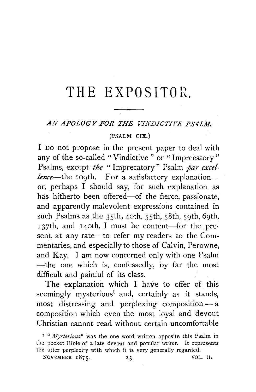# **THE EXPOSITOR.**

 $\leftrightarrow$ 

#### $AN$  *APOLOGY FOR THE VINDICTIVE PSALM.*

#### (PSALM CIX.)

I DO not propose in the present paper to deal with any of the so-called "Vindictive" or "Imprecatory" Psalms, except *the* " Imprecatory" Psalm *par excellence*—the 109th. For a satisfactory explanation or, perhaps I should say, for such explanation as has hitherto been offered—of the fierce, passionate, and apparently malevolent expressions contained in such Psalms as the 35th, 40th, 55th, 58th, 59th, 69th, 137th, and 140th, I must be content-for the present, at any rate-to refer my readers to the Commentaries, and especially to those of Calvin, Perowne, and Kay. I am now concerned only with one Psalm  $-$ the one which is, confessedly, by far the most difficult and painful of its class.

The explanation which I have to offer of this seemingly mysterious<sup>1</sup> and, certainly as it stands, most distressing and perplexing composition-a composition which even the most loyal and devout Christian cannot read without certain uncomfortable

<sup>&</sup>lt;sup>I</sup> "*Mysterious*" was the one word written opposite this Psalm in the pocket Bible of a late devout and popular writer. It represents the utter perplexity with which it is very generally regarded.

NOVEMBER 1875. 23 VOL. II.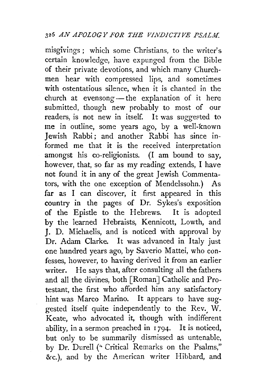misgivings; which some Christians, to the writer's certain knowledge, have expunged from the Bible of their private devotions, and which many Churchmen hear with compressed lips, and sometimes with ostentatious silence, when it is chanted in the church at evensong - the explanation of it here submitted, though new probably to most of our readers, is not new in itself. It was suggested to me in outline, some years ago, by a well-known Jewish Rabbi; and another Rabbi has since informed me that it is the received interpretation amongst his co-religionists. (I am bound to say, however, that, so far as my reading extends, I have not found it in any of the great Jewish Commentators, with the one exception of Mendelssohn.) As far as I can discover, it first appeared in this country in the pages of Dr. Sykes's exposition of the Epistle to the Hebrews. It is adopted by the learned Hebraists, Kennicott, Lowth, and J. D. Michaelis, and is noticed with approval by Dr. Adam Clarke. It was advanced in Italy just one hundred years ago, by Saverio Mattei, who confesses, however, to having derived it from an earlier writer. He says that, after consulting all the fathers and all the divines, both [Roman] Catholic and Protestant, the first who afforded him any satisfactory hint was Marco Marino. It appears to have suggested itself quite independently to the Rev.  $\hat{W}$ . Keate, who advocated it, though with indifferent ability, in a sermon preached in  $1794$ . It is noticed, but only to be summarily dismissed as untenable, by Dr. Durell (" Critical Remarks on the Psalms," &c.), and by the American writer Hibbard, and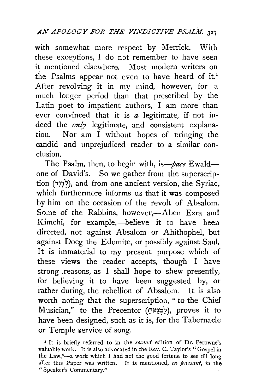with somewhat more respect by Merrick. With these exceptions, I do not remember to have seen it mentioned elsewhere. Most modern writers on the Psalms appear not even to have heard of it.<sup>1</sup> After revolving it in my mind, however, for a much longer period than that prescribed by the Latin poet to impatient authors, I am more than ever convinced that it is *a* legitimate, if not indeed the *only* legitimate, and consistent explanation. Nor am I without hopes of bringing the candid and unprejudiced reader to a similar conclusion.

The Psalm, then, to begin with, is-pace Ewaldone of David's. So we gather from the superscription (לְדָוָר), and from one ancient version, the Syriac, which furthermore informs us that it was composed by him on the occasion of the revolt of Absalom. Some of the Rabbins, however,-Aben Ezra and Kimchi, for example,-believe it to have been directed, not against Absalom or Ahithophel, but against Doeg the Edomite, or possibly against Saul. It is immaterial to my present purpose which of these views the reader accepts, though I have strong reasons, as I shall hope to shew presently, for believing it to have been suggested by, or rather during, the rebellion of Absalom. It is also worth noting that the superscription, " to the Chief Musician," to the Precentor (תַּמְצְמָה), proves it to have been designed, such as it is, for the Tabernacle or Temple service of song.

<sup>&</sup>lt;sup>1</sup> It is briefly referred to in the *second* edition of Dr. Perowne's valuable work. It is also advocated in the Rev. C. Taylor's "Gospel in the Law,"-a work which I had not the good fortune to see till long after this Paper was written. It is mentioned, *en jassant,* in the "Speaker's Commentary."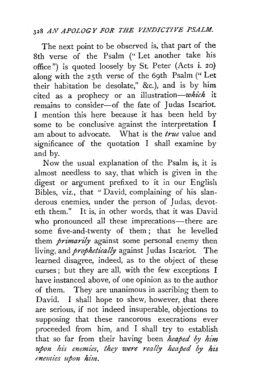## <sup>328</sup>*AN APOLOGY FOR THE VINDICTIVE PSALM.*

The next point to be observed is, that part of the 8th verse of the Psalm (" Let another take his office") is quoted loosely by St. Peter (Acts i. 20) along with the 25th verse of the 69th Psalm ("Let their habitation be desolate," &c.), and is by him cited as a prophecy or an illustration-which it remains to consider-of the fate of Judas Iscariot. I mention this here because it has been held by some to be conclusive against the interpretation I am about to advocate. What is the *true* value and significance of the quotation I shall examine by and by.

Now the usual explanation of the Psalm is, it is almost needless to say, that which is given in the digest or argument prefixed to it in our English Bibles, viz., that " David, complaining of his slanderous enemies, under the person of Judas, devoteth them." It is, in other words, that it was David who pronounced all these imprecations--there are some five-and-twenty of them ; that he levelled them *primarily* against some personal enemy then living, and *prophetically* against Judas Iscariot. The learned disagree, indeed, as to the object of these curses; but they are all, with the few exceptions I have instanced above, of one opinion as to the author of them. They are unanimous in ascribing them to David. I shall hope to shew, however, that there are serious, if not indeed insuperable, objections to supposing that these rancorous execrations ever proceeded from him, and I shall try to establish that so far from their having been *heaped by him upon his enemies, they were really heaped by his enemies upon him.*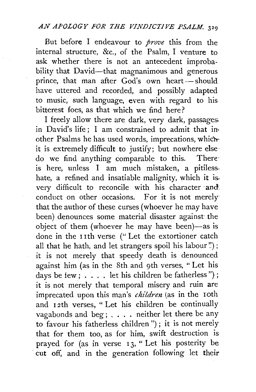# *AN APOLOGY FOR THE VINDICTJ VE PSALM.* <sup>329</sup>

But before I endeavour to *prove* this from the internal structure, &c., of the Psalm, I venture to ask whether there is not an antecedent improbability that David-that magnanimous and generous prince, that man after God's own heart-should have uttered and recorded, and possibly adapted to music, such language, even with regard to his bitterest foes, as that which we find here?

I freely allow there are dark, very dark, passages in David's life; I am constrained to admit that in other Psalms he has used words, imprecations, whichit is extremely difficult to justify; but nowhere else· do we find anything comparable to this. There· is here, unless  $I$  am much mistaken, a pitilesshate, a refined and insatiable malignity, which it is. very difficult to reconcile with his character and conduct on other occasions. For it is not merely that the author of these curses (whoever he may have been) denounces some material disaster against· the object of them (whoever he may have been)-as is done in the I Ith verse ("Let the extortioner catch all that he hath, and let strangers spoil his labour"); it is not merely that speedy death is denounced against him (as in the 8th and 9th verses, "Let his days be few ; . . . . let his children be fatherless") : it is not merely that temporal misery and ruin are imprecated upon this man's *children* (as in the 1oth and 12th verses, " Let his children be continually vagabonds and beg; . . . . neither let there be any to favour his fatherless children ") ; it is not merely that for them too, as for him, swift destruction is prayed for (as in verse 13, "Let his posterity be cut off, and in the generation following let their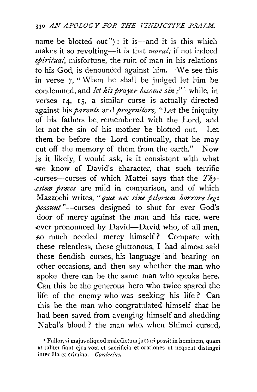name be blotted out"): it is—and it is this which makes it so revolting—it is that *moral*, if not indeed *spiritual,* misfortune, the ruin of man in his relations to his God, is denounced against him. We see this in verse 7, "When he shall be judged let him be condemned, and *let his prayer become sin*;"<sup>1</sup> while, in verses  $14$ ,  $15$ , a similar curse is actually directed against his *parents* and *progenitors,* "Let the iniquity of his fathers be remembered with the Lord, and let not the sin of his mother be blotted out. Let them be before the Lord continually, that he may cut off the memory of them from the earth." Now is it likely, I would ask, is it consistent with what -we know of David's character, that such terrific .,curses-curses of which Mattei says that the *Thy- ...estece preces* are mild in comparison, and of which Mazzochi writes, "quæ nee sine pilorum horrore legt *yossunt* "-curses designed to shut for ever God's door of mercy against the man and his race, were ever pronounced by David-David who, of all men, :SO much needed mercy himself ? Compare with these relentless, these gluttonous, I had almost said these fiendish curses, his language and bearing on other occasions, and then say whether the man who spoke there can be the same man who speaks here. Can this be the generous hero who twice spared the life of the enemy who was seeking his life ? Can this be the man who congratulated himself that he had been saved from avenging himself and shedding Nabal's blood? the man who, when Shimei cursed,

<sup>&</sup>lt;sup>I</sup> Fallor, si majus aliquod maledictum jactari possit in hominem, quam nt taliter fiant ejus vota et sacrificia et orationes ut nequeat distingui inter ilia et *t:rimina.-Corderius.*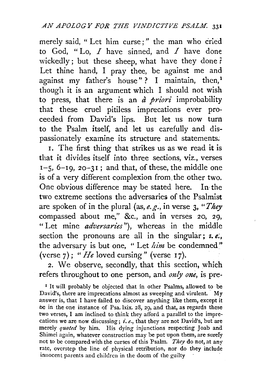merely said, " Let him curse;" the man who cried to God, "Lo,  $I$  have sinned, and  $I$  have done wickedly; but these sheep, what have they done  $\mathbf{\hat{r}}$ Let thine hand, I pray thee, be against me and against my father's house"? I maintain, then,<sup>1</sup> though it is an argument which I should not wish to press, that there is an *a priori* improbability that these cruel pitiless imprecations ever proceeded from David's lips. But let us now turn to the Psalm itself, and let us carefully and dispassionately examine its structure and statements.

I. The first thing that strikes us as we read it is that it divides itself into three sections, viz., verses  $1-5$ ,  $6-19$ ,  $20-31$ ; and that, of these, the middle one is of a very different complexion from. the other two. One obvious difference may be stated here. In· the two extreme sections the adversaries of the Psalmist are spoken of in the plural (as, *e.g.,* in verse 3, *"They*  compassed about me," &c., and in verses 20, 29, "Let mine *adversaries"),* whereas in the middle section the pronouns are all in the singular; *z. e.*, the adversary is but one, "Let *lim* be condemned" (verse  $7$ ); "*He* loved cursing" (verse 17).

2. We observe, secondly, that this section, which refers throughout to one person, and *only one*, is pre-

<sup>1</sup> It will probably be objected that in other Psalms, allowed to be David's, there are imprecations almost as sweeping and virulent. My answer is, that I have failed to discover anything like them, except it be in the one instance of Psa. lxix. 28, 29, and that, as regards these two verses, I am inclined to think they afford a parallel to the imprecations we are now discussing; i.e., that they are not David's, but are merely *quoted* by him. His dying injunctions respecting Joab and Shimei again, whatever construction may be put upon them, are surefy not to be compared with the curses of this Psalm. *They* do not, at any rate, overstep the line of physical retribution, nor do they include innocent parents and children in the doom of the guilty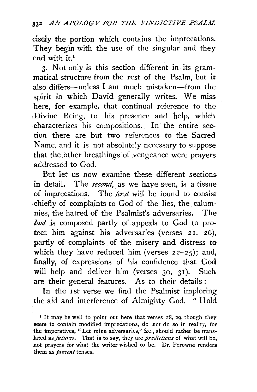cisely the portion which contains the imprecations. They begin with the use of the singular and they end with  $it^1$ 

3· Not only is this section different in its grammatical structure from the rest of the Psalm, but it also differs-unless I am much mistaken-from the spirit in which David generally writes. We miss here, for example, that continual reference to the ,Divine .Being, to .his presence and help, which characterizes his compositions.. In the entire section there are but two references to the Sacred Name, and it is not absolutely necessary to suppose that the other breathings of vengeance were prayers addressed to God.

But let us now examine these different sections in detail. The *second,* as we haye seen, is a tissue of imprecations. The *first* will be found to consist chiefly of complaints to God of the lies, the calumnies, the hatred of the Psalmist's adversaries. The *last* is composed partly of appeals to God to protect him against his adversaries (verses  $21$ ,  $26$ ), partly of complaints of the misery and distress to which they have reduced him (verses  $22-25$ ); and, finally, of expressions of his confidence that God will help and deliver him (verses 30, 31). Such are their general features. As to their details :

In the rst verse we find the Psalmist imploring the aid and interference of Almighty God. " Hold

<sup>&</sup>lt;sup>1</sup> It may be well to point out here that verses 28, 29, though they seem to contain modified imprecations, do not do so in reality, for the imperatives, "Let mine adversaries," &c., should rather be translated as *futures.* That is to say, they are *predictions* of what will be, not prayers for what the writer wished to be. Dr. Perowne renders them as *present* tenses.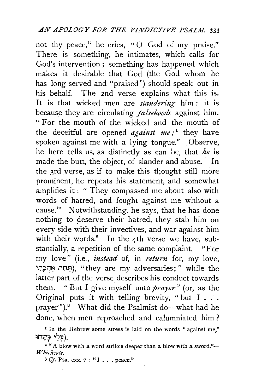not thy peace," he cries, "0 God of my praise." There is something, he intimates, which calls for God's intervention ; something has happened which makes it desirable that God (the God whom he has long served and "praised") should speak out in his behalf. The 2nd verse explains what this is. It is that wicked men are *slandering* him : it is because they are circulating *falsehoods* against him. "For the mouth of the wicked and the mouth of the deceitful are opened  $a$ *gainst* me;<sup>1</sup> they have spoken against me with a lying tongue." Observe, he here tells us, as distinctly as can be, that *he* is made the butt, the object, of slander and abuse. In the 3rd verse, as if to make this thought still more prominent, he repeats his statement, and somewhat amplifies it : " They compassed me about also with words of hatred, and fought against me without a cause." Notwithstanding, he says, that he has done nothing to deserve their hatred, they stab him on every side with their invectives, and war against him with their words.<sup>2</sup> In the 4th verse we have, substantially, a repetition of the same complaint. "For my love" (i.e., *instead* of, in *return* for, my love, ~1},il!i~ ,-,Cl~). "they are my adversaries; " while the latter part of the verse describes his conduct towards them. "But I give myself unto *prayer"* (or, as the Original puts it with telling brevity, "but  $I \cdot \cdot \cdot$ prayer"). $8$  What did the Psalmist do--what had he done, when men reproached and calumniated him?

<sup>&</sup>lt;sup>1</sup> In the Hebrew some stress is laid on the words "against me," :,n,~l ~?~).

<sup>&</sup>lt;sup>2</sup> "A blow with a word strikes deeper than a blow with a sword."- $Whichcode.$ 

<sup>3</sup> *Cj.* Psa. cxx. *7* : "I • . • peace."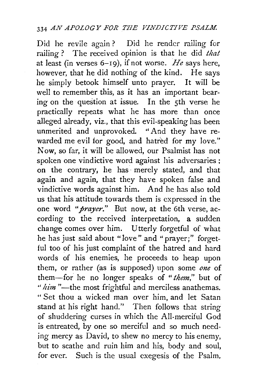#### 334 *AN APOLOGY FOR THE VINDICTIVE PSALM.*

Did he revile again ? Did he render railing for railing ? The received opinion is that he did *that*  at least (in verses  $6-19$ ), if not worse, *He* says here, however, that he did nothing of the kind. He says he simply betook himself unto prayer. It will be well to remember this, as it has an important bearing on the question at issue. In the sth verse he practically repeats what he has more than once alleged already, viz., that this evil-speaking has been unmerited and unprovoked. "And they have rewarded me evil for good, and hatred for my love." Now, so far, it will be allowed, our Psalmist has not spoken one vindictive word against his adversaries ; on the contrary, he has· merely stated, and that again and again, that they have spoken false and vindictive words against him. And he has also told us that his attitude towards them is expressed in the one word *"prayer."* But now, at the 6th verse, according to the received interpretation, a sudden change comes over him. Utterly forgetful of what he has just said about "love" and "prayer;" forgetful too of his just complaint of the hatred and hard words of his enemies, he proceeds to heap upon them, or rather (as is supposed) upon some one of them-for he no longer speaks of *"them,"* but of " $\lim$ "---the most frightful and merciless anathemas. " Set thou a wicked man over him, and let Satan stand at his right hand.'' Then follows that string of shuddering curses in which the All-merciful God is entreated, by one so merciful and so much needing mercy as David, to shew no mercy to his enemy, but to scathe and ruin him and his, body and soul, for ever. Such is the usual exegesis of the Psalm.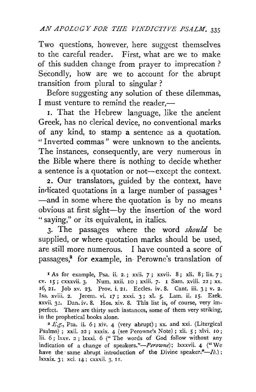Two questions, however, here suggest themselves to the careful reader. First, what are we to make of this sudden change from prayer to imprecation ? Secondly, how are we to account for the abrupt transition from plural to singular ?

Before suggesting any solution of these dilemmas, I must venture to remind the reader. $-$ 

1. That the Hebrew language, like the ancient Greek, has no clerical device, no conventional marks of any kind, to stamp a sentence as a quotation. "Inverted commas" were unknown to the ancients. The instances, consequently, are very numerous in the Bible where there is nothing to decide whether a sentence is a quotation or not—except the context.

2. Our translators, guided by the context, have indicated quotations in a large number of passages<sup>1</sup> -and in some where the quotation is by no means obvious at first sight-by the insertion of the word " saying," or its equivalent, in italics.

3· The passages where the word *should* be supplied, or where quotation marks should be used, are still more numerous. I have counted a score of passages,<sup>2</sup> for example, in Perowne's translation of

in the prophetical books alone. 2 *E.g.,* Psa. ii. 6; xiv. 4 (very abrupt) ; xx. and xxi. (Liturgical Psalms) ; xxii. 22; xxxix. 4 (see Perowne's Note) ; xli. *5* ; xlvi. 10; lii. 6; lxxv. 2 ; lxxxi. 6 (" The words of God follow without any indication of a change of speakers."-Perowne); lxxxvii. 4 ("We have the same abrupt introduction of the Divine speaker." $-Lb$ .); lxxxix. 3; xci. 14 ; cxxxii. 3, I r.

<sup>1</sup> As for example, Psa. ii. 2. ; xxii. *7* ; xxvii. 8 ; xli. 8; lix. *7* ; cv. 15; cxxxvii. 3· Num. xxii. 10; xxiii. *7·* I Sam. xviii. 22; xx. 16, 21. Job xv. 23. Prov. i. 21. Eccles. iv. 8. Cant. iii. 3; v. 2. !sa. xviii. 2. Jerem. vi. 17; xxxi. 3; xi. *5·* Lam. ii. 15. Ezek. xxvii. 32. Dan. iv. 8. Hos. xiv. 8. This list is, of course, very imperfect. There are thirty such instances, some of them very striking,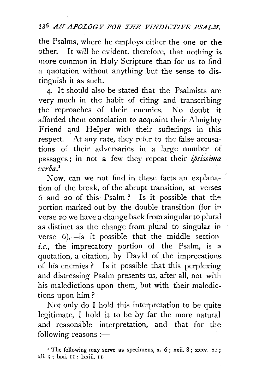#### 33<sup>6</sup> AN APOLOGY FOR THE VINDICTIVE PSALM.

the Psalms, where he employs either the one or the other. It will be evident, therefore, that nothing is more common in Holy Scripture than for us to find a quotation without anything but the sense to distinguish it as such.

4· It should also be stated. that the Psalmists are very much in the habit of citing and transcribing the reproaches of their enemies. No doubt it afforded them consolation to acquaint their Almighty Friend and Helper with their sufferings in this respect. At any rate, they refer to the false accusations of their adversaries in a large number of passages ; in not a few they repeat their *ipsissima verba.* <sup>1</sup>

Now, can we not find in these facts an explanation of the break, of the abrupt transition, at verses 6 and 20 of this Psalm? Is it possible that the portion marked out by the double transition (for *in*  verse 20 we have a change back from singular to plural as distinct as the change from plural to singular *in*  verse  $6$ ,—is it possible that the middle section  $i.e.,$  the imprecatory portion of the Psalm, is  $a$ quotation, a citation, by David of the imprecations of his enemies ? Is it possible that this perplexing and distressing Psalm presents us, after all, not with his maledictions upon them, but with their maledictions upon him?

Not only do I hold this interpretation to be quite legitimate, I hold it to be by far the more natural and reasonable interpretation, and that for the following reasons :-

<sup>&</sup>lt;sup>1</sup> The following may serve as specimens, x.  $6$ ; xxii. 8; xxxv. 21; xli. 5; lxxi. II ; lxxiii. II.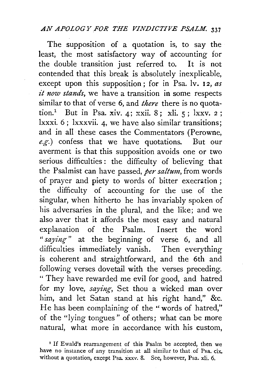#### *AN APOLOGYFOR THE VINDICTIVE PSALM.* <sup>337</sup>

The supposition of a quotation is, to say the least, the most satisfactory way of accounting for the double transition just referred to. It is not contended that this break is absolutely inexplicable, except upon this supposition; for in Psa. lv. 12, *as it now stands*, we have a transition in some respects similar to that of verse 6, and *there* there is no quotation.<sup>1</sup> But in Psa. xiv. 4; xxii. 8; xli.  $5$ ; lxxv. 2; lxxxi. 6; lxxxvii. 4, we have also similar transitions; and in all· these cases the Commentators (Perowne, *e.g.)* confess that we have quotations. But our averment is that this supposition avoids one or two serious difficulties : the difficulty of believing that the Psalmist can have passed, *per saltum,* from words of prayer and piety to words of bitter execration; the difficulty of accounting for the use of the singular, when hitherto he has invariably spoken of his adversaries in the plural, and the like; and we also aver that it affords the most easy and natural explanation of the Psalm. Insert the word " *saying-"* at the beginning of verse 6, and all difficulties immediately vanish. Then everything is coherent and straightforward, and the 6th and following verses dovetail with the verses preceding. "They have rewarded me evil for good, and hatred for my love, *saying*, Set thou a wicked man over him, and let Satan stand at his right hand," &c. He has been complaining of the "words of hatred," of the "lying tongues" of others; what can be more natural, what more in accordance with his custom,

<sup>&</sup>lt;sup>1</sup> If Ewald's rearrangement of this Psalm be accepted, then we have no instance of any transition at all similar to that of Psa. cix. without a quotation, except Psa. xxxv. 8. See, however, Psa. xli. 6.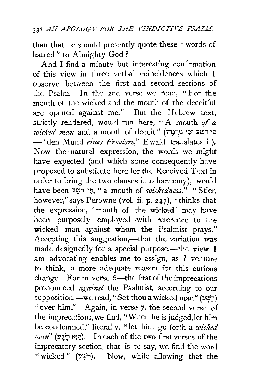than that he should presently quote these "words of hatred" to Almighty God?

And I find a minute but interesting confirmation of this view in three verbal coincidences which I observe between the first and second sections of the Psalm. In the 2nd verse we read, "For the mouth of the wicked and the mouth of the deceitful are opened against me." But the Hebrew text, strictly rendered, would run here, " A mouth *of* <sup>a</sup>  $wicked\,$   $max\,$  and  $\,$  a mouth of deceit '' (קיבה יבי יהוד -"den Mund eines Frevlers," Ewald translates it). Now the natural expression, the words we might have expected (and which some consequently have proposed to substitute here for the Received Text in order to bring the two clauses into harmony), would have been l'tP-:J '!i, " a mouth of *wickedness."* " Stier, however," says Perowne (vol. ii. p. 247), "thinks that the expression, 'mouth of the wicked' may have been purposely employed with reference to the wicked man against whom the Psalmist prays." Accepting this suggestion,—that the variation was made designedly for a special purpose,—the view I am advocating enables me to assign, as I venture to think, a more adequate reason for this curious change. For in verse  $6$ —the first of the imprecations pronounced *against* the Psalmist, according to our supposition,—we read, "Set thou a wicked man" ( $\forall$  $\forall$ ) "over him." Again, in verse 7, the second verse of the imprecations, we find, "When he is judged, let him be condemned," literally, "let him go forth a *wicked man*" (יְצֵא רָשָׁע). In each of the two first verses of the imprecatory section, that is to say, we find the word "wicked" ( $\nu \psi$ ). Now, while allowing that the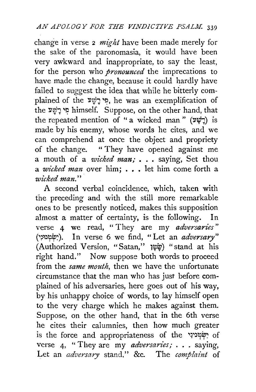change in verse 2 *might* have been made merely for the sake of the paronomasia, it would have been very awkward and inappropriate, to say the least, for the person who *pronounced* the imprecations to have made the change, because it could hardly have failed to suggest the idea that while he bitterly complained of the ~~~~ '~, he was an exemplification of the פִי רָשָׁע himself. Suppose, on the other hand, that the repeated mention of "a wicked man" (רָשָׁע) is made by his enemy, whose words he cites, and we can comprehend at *once* the object and propriety of the change. " They have opened against me a mouth of a *wicked man;* •.• saying, Set thou a *wicked man* over him; • • • let him come forth a *wicked man.''* 

A second verbal coincidence, which, taken with the preceding and with the still more remarkable ones to be presently noticed, makes this supposition almost a matter of certainty, is the following. In verse 4 we read, "They are my *adversaries*" ('~~'tflip~). In verse 6 we find, "Let an *adversary"*  (Authorized Version, "Satan;'' 1t;~) "stand at his right hand." Now suppose both words to proceed from the *same mouth,* then we have the unfortunate circumstance that the man who has just before complained of his adversaries, here goes out of his way, by his unhappy choice of words, to lay himself open to the very charge which he makes against them. Suppose, on the other hand, that in the 6th verse he cites their calumnies, then how much greater is the force and appropriateness of the 'שָׂמְצִינִי verse 4, " They are my *adversaries;* . . . saying, Let an *adversary* stand." &c. The *complaint* of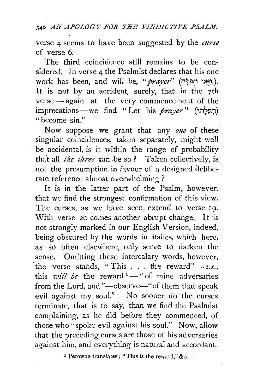340 *AN APOLOGY FOR THE VINDJCT.I VE PSALM.* 

verse 4 seems to have been suggested by the *curse*  of verse 6.

The third coincidence still remains to be considered. In verse 4 the Psalmist declares that his one work has been, and will be, "*prayer*" (וַאֲנֵי חִפְלֵה). It is not by an accident, surely, that in the 7th verse -- again at the very commencement of the imprecations--we find "Let his *prayer*" (תִפְלָּהוּ) "become sin."

Now suppose we grant that any *one* of these singular coincidences, taken separately, might well be accidental, is it within the range of probability that all *the three* can be so? Taken collectively, is not the presumption in favour of a designed deliberate reference almost overwhelming ?

It is in the latter part of the Psalm, however, that we find the strongest confirmation of this view. The curses, as we have seen, extend to verse 19. With verse 20 comes another abrupt change. It is not strongly marked in our English Version, indeed, being obscured by the words in italics, which here, as so often elsewhere, only serve to darken the sense. Omitting these intercalary words, however, the verse stands, "This  $\ldots$  the reward" $-z.e.,$ this *will be* the reward  $-$  " of mine adversaries from the Lord, and "-observe-" of them that speak evil against my soul." No sooner do the curses terminate, that is to say, than we find the Psalmist complaining, as he did before they commenced, of those who "spoke evil against his soul." Now, allow that the preceding curses are those of his adversaries against him, and everything is natural and accordant.

• Perowne translates : "This is the reward," &c.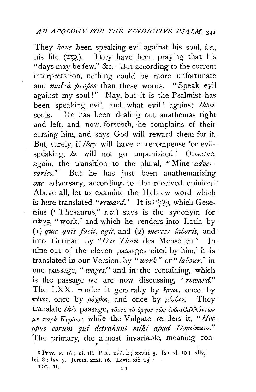They *have* been speaking evil against his soul, *i.e.*, his life ( $\psi$ :). They have been praying that his "days may be few," &c. · But according to the current interpretation, nothing could be more unfortunate and *mal à propos* than these words. "Speak eyil against my soul!" Nay, but it is the Psalmist has been speaking evil, and what evil! against *their* souls. He has been dealing out anathemas right and left, and now, forsooth, he complains of their cursing him, and says God will reward them for it. But, surely, if *they* will have a recompense for evilspeaking, *he* will not go unpunished! Observe, again, the transition to the plural, "Mine *adver*. *saries."* But he has just been anathematizing *one* adversary, according to the received opinion! Above all, let us examine the Hebrew word which *is* here translated *"reward."* It is n~~p,. which Gesenius (' Thesaurus," *s.v.)* says is the synonym for· n~~~. "work," and which he renders into Latin by · (I) *quæ quis facit, agit, and (2) merces laboris, and* into German by "Das Thun des Menschen." In nine out of the eleven passages cited by him/ it *is·*  translated in our Version by *"work"* or *"labour,"* in one passage, "*wages*," and in the remaining, which is the passage we are now discussing, *"reward."*  The LXX. render it generally by  $\ell\rho\gamma\omega$ , once by  $\pi\omega$ os, once by  $\mu\omega\chi\theta$ os, and once by  $\mu\omega\theta$ os. They translate *this* passage, τουτο τὸ ἔργον τῶν ἐνδιαβαλλόντων  $\mu \epsilon$   $\pi a \rho \dot{a}$   $Kv\rho \dot{\rho} ov$ ; while the Vulgate renders it, "Hoc *opus eo rum qu£ ddrahunt nzihi ajmd Duminum."*  The primary, the almost invariable, meaning con-

I Prov. x. 16 ; xi. 18. Psa. xvii. 4; xxviii. 5· I sa. xi. 10; xliY. lxi. 8; 1xv. 7. Jerem. xxxi. 16. Levit. xix. 13.  $\text{VOL. II.}$  24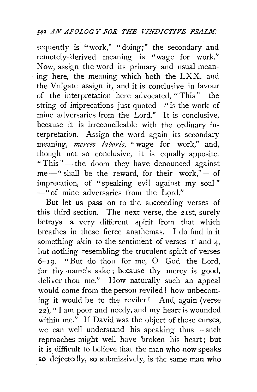## 3'42 *AN APOLOGY FOR THE VINDICTIVE PSALM.*

sequently is "work," "doing;" the secondary and remotely-derived meaning is "wage for work." Now, assign the word its primary and usual mean- . ing here, the meaning which both the LXX. and the Vulgate assign it, and it is conclusive in favour of the interpretation here advocated, "This"-the string of imprecations just quoted-" is the work of mine adversaries from the Lord." It is conclusive, because it is irreconcileable with the ordinary interpretation. Assign the word again its secondary meaning, *merces laboris,* " wage for work," and, though not so conclusive, it is equally apposite. "This"-the doom they have denounced against me $-$ " shall be the reward, for their work," $-$ of imprecation, of "speaking evil against my soul " -"of mine adversaries from the Lord."

But let us pass on to the succeeding verses of this third section. The next verse, the 21st, surely betrays a very different spirit from that which breathes in these fierce anathemas. I do find in it something akin to the sentiment of verses I and 4. but nothing resembling the truculent spirit of verses 6-19. "But do thou for me, 0 God the Lord, for thy name's sake; because thy mercy is good, deliver thou me." How naturally such an appeal would come from the person reviled ! how unbecoming it would be to the reviler! And, again (verse 22), "I am poor and needy, and my heart is wounded within me." If David was the object of these curses, we can well understand his speaking thus-such reproaches might well have broken his heart ; but it is difficult to believe that the man who now speaks so dejectedly, so submissively, is the same man who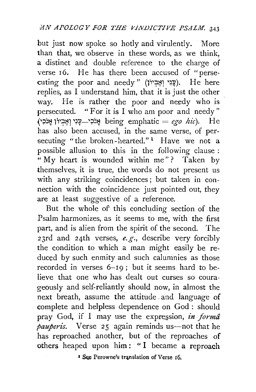but just now spoke so hotly and virulently. More than that, we observe in these words, as we think, a distinct and double reference to the charge of verse 16. He has there been accused of "persecuting the poor and needy" (עֲבָי וְאֵבְיוֹן). He here replies, as I understand him, that it is just the other way. He is rather the poor and needy who is persecuted. "For it is I who am poor and needy" (אָבִיוֹן אֶבִיוֹן being emphatic = *ego hic*). He has also been accused, in the same verse, of persecuting "the broken-hearted."<sup>1</sup> Have we not a possible allusion to this in the following clause : "My heart is wounded within me"? Taken by themselves, it is true, the words do not present us with any striking coincidences; but taken in connection with the coincidence just pointed out, they are at least suggestive of a reference.

But the whole of this concluding section of the Psalm harmonizes, as it seems to me, with the first part, and is alien from the spirit of the second. The 23rd and 24th verses, *e.g.,* describe very forcibly the condition to which a man might easily be reduced by such enmity and such calumnies as those recorded in verses 6-19 ; but it seems hard to believe that one who has dealt out curses so courageously and self-reliantly should now, in almost the next breath, assume the attitude and language of complete and helpless dependence on God: should pray God, if I may use the expression, *in forma pauperis.* Verse 25 again reminds us—not that he has reproached another, but of the reproaches of others heaped upon him: "I became a reproach

<sup>I</sup> See Perowne's translation of Verse r6.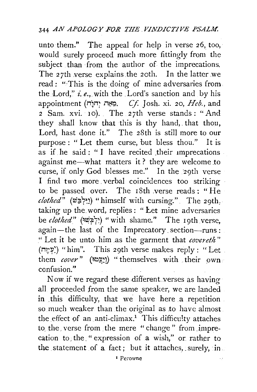unto them." The appeal for help in verse 26, too, would surely proceed much more fittingly from the subject than from the author of the imprecations. The 27th verse explains the 20th. In the latter we read ; "This is the doing of mine adversaries from. the Lord," *i.e.*, with the Lord's sanction and by his appointment (n~n; •i~~. *Cf.* Josh. xi. 20, *Heb.,* and 2 Sam. xvi. 10). The 27th verse stands: "And they shall know that this is thy hand,. that thou, Lord, hast done it." The 28th is still more to our purpose: "Let them curse, but bless thou." It is as if he said : " I have recited their imprecations against me-what matters it? they are welcome to curse, if only God blesses me." In the 29th verse I find two more verbal coincidences too striking to be passed over. The  $18th$  verse reads: "He *clothed"* (w;;i7~~) "himself with cursing.". The 29th, taking up the word, replies: "Let mine adversaries be *c!Qthed"* (~~?17~) "with shame." The 19th verse, again-the last of the Imprecatory section-runs: " Let it be unto him as the garment that *covereth*" (עמָה) "him". This 29th verse makes reply : "Let them *cover*" (וְיָפֵטוּ) "themselves with their own. confusion."

Now if we regard these different verses as having all proceeded *from* the same speaker, we are landed in this difficulty, that we have here a repetition. so much weaker than the original as to have almost the effect of an anti-climax.<sup>1</sup> This difficulty attaches to the verse from the mere "change" from imprecation to the " expression of a wish," or rather to the statement of a fact; but it attaches, surely, in.

I Ferowne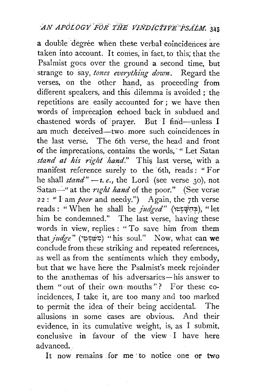a double degree when these verbal coincidences are taken into account. It comes, in fact, to this; that the Psalmist goes over the ground a second time, but strange to say, *tones everything down*. Regard the verses, on the other hand, as proceeding from different speakers, and this dilemma is avoided ; the repetitions are easily accounted for ; we have then words of imprecation echoed back in subdued and chastened words of prayer. But I find-unless I am much deceived-two more such coincidences in the last verse. The 6th verse, the head and front of the imprecations, contains the words, " Let Satan stand at his right hand." This last verse, with a manifest reference surely to the 6th, reads : "For he shall *stand*"  $-i$ . *e.*, the Lord (see verse 30), not Satan-" at the *right hand* of the poor." (See verse 22: ''I am *poor* and needy.") Again, the 7th verse reads : " \V' hen he shall be *judged"* (\t~~o/1:1?1 ), " let him be condemned." The last verse, having these words in view, replies: "To save him from them that *judge"* (~\? ~wr;) " his · soul." Now, what can we conclude from these striking and repeated references, as well as from the sentiments which they embody, but that we have here the Psalmist's meek rejoinder to the anathemas of his adversaries-his answer to them "out of their own mouths"? For these coincidences, I take it, are too many and too marked to permit the idea· of their being accidental. The allusions in some cases are obvious. And their evidence, in its cumulative weight, is, as I submit. conclusive in favour of the view I have here advanced.

It now remains for me to notice one or two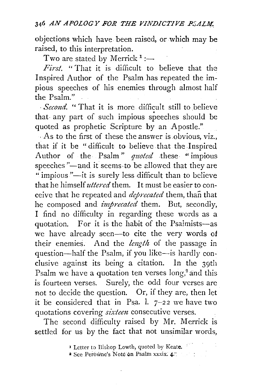objections which have been raised, or which may be raised, to this interpretation.

Two are stated by Merrick<sup>1</sup>: $-$ 

*First.* " That it is difficult to believe that the Inspired Author of the Psalm has repeated the impious speeches of his enemies through almost half the Psalm."

· *Sec01zd.* " That it is more difficult still to .believe that· any part of such impious speeches should be quoted as prophetic Scripture by an Apostle."

. As to the first of these the answer is obvious, viz., that if it be "difficult to believe that the Inspired Author of the Psalm" *quoted* these "impious speeches "-and it seems to be allowed that they are " impious "-it is surely less difficult than to believe that he himself *uttered* them. It must be easier to conceive that he repeated and *deprecated* them, than that he composed and *imprecated* them. But, secondly, I find no difficulty in regarding these words as a quotation. For it is the habit of the Psalmists-as we have already seen--to cite the very words of their enemies. And the *length* of the passage in question-half the Psalm, if you like-is hardly conclusive against its being a citation. In the 39th Psalm we have a quotation ten verses long,<sup>2</sup> and this is fourteen verses. Surely, the odd four verses are not *to* decide the question. Or, if they are, then let it be considered that in Psa. 1.  $7-22$  we have two quotations covering *sixteen* consecutive verses.

The second difficulty raised by Mr. Merrick is settled for us by the fact that not unsimilar words,

 $1.111$ 

I Letter to Bishop Lowth, quoted by Keate.

<sup>&</sup>lt;sup>2</sup> See Perowne's Note on Psalm xxxix: 4.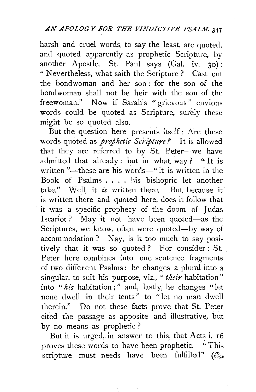harsh and cruel words, to say the least, are quoted, and quoted apparently as prophetic Scripture, by another Apostle. St. Paul says (Gal. iv. 30): "Nevertheless, what saith the Scripture? Cast out the bondwoman and her son : for the son of the bondwoman shall not be heir with the son of the freewoman." Now if Sarah's "grievous" envious words could be quoted as Scripture, surely these might be so quoted also.

But the question here presents itself: Are these words quoted as *prophetic Scripture?* It is allowed that they are referred to by St. Peter--we have admitted that already: but in what way? "It is written "—these are his words—" it is written in the Book of Psalms . . . . his bishopric let another take." Well, it *is* written there. But because it is written there and quoted here, does it follow that it was a specific prophecy of the doom of Judas Iscariot ? May it not have been quoted-as the Scriptures, we know, often were quoted--by way of accommodation ? Nay, is it too much to say positively that it was so quoted ? For consider : St. Peter here combines into one sentence fragments of two different Psalms: he changes a plural into a singular, to suit his purpose, viz., *"their* habitation" into *"his* habitation ; " and, lastly, he changes "let none dwell in their tents" to "let no man dwell therein." Do not these facts prove that St. Peter cited the passage as apposite and illustrative, but by no means as prophetic ?

But it is urged, in answer to this, that Acts i. 16 proves these words to have been prophetic. "This  $s$ cripture must needs have been fulfilled" ( $\epsilon \delta \epsilon$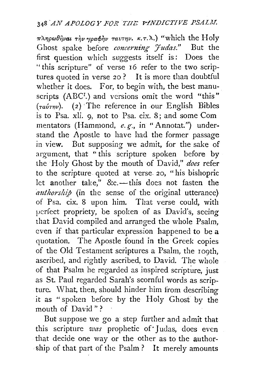## <sup>348</sup>*AN APOLOGY FOR TIIE p-fNDICTIVE PSALl.I.*

7rATJpc.J8~vat Ti)v"/parf>~v *TaVT7JV. K.T.I\.)* "which the Holy Ghost spake before *concerning 'fudas.*" But the first question which suggests itself is: Does the "this scripture" of verse 16 refer to the two scriptures quoted in verse *20?* It is more than doubtful whether it does. For, to begin with, the best manuscripts (ABC<sup>I</sup>.) and versions omit the word "this"  $(\tau_a\acute{v}\tau_{\eta\nu})$ . (2) The reference in our English Bibles is to Psa. xli. 9, not to Psa. cix. 8; and some Com mentators (Hammond, *e. g·.,* in "Annotat.") under· stand the Apostle to have had the former passage in view. But supposing we admit, for the sake of argument, that ''this scripture spoken before by the Holy Ghost by the mouth of David," does refer to the scripture quoted at verse. *20,* "his bishopric let another take," &c.-this does not fasten the *authorship* (in the sense of the original utterance) of Psa. cix. 8 upon him. That verse could, with perfect propriety, be spoken of as David's, seeing that David compiled and arranged the whole Psalm, even if that particular expression happened to be a quotation. The Apostle found in the Greek copies of the Old Testament scriptures a Psalm, the 109th, ascribed, and rightly ascribed, to David. The whole of that Psalm he regarded as inspired scripture, just as St. Paul regarded Sarah's scornful words as scripture. What, then, should hinder him from describing it as "spoken before by the Holy Ghost by the mouth of David"?

But suppose we go a step further and admit that this scripture *was* prophetic of· Judas, does even that decide one way or the other as to the authorship of that part of the Psalm? It merely amounts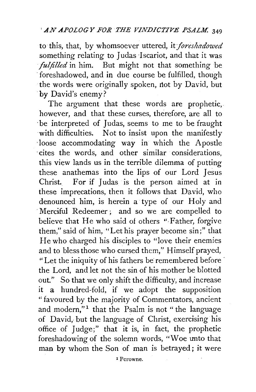to this, that, by whomsoever uttered, it *foreshadowed* something relating to Judas Iscariot, and that it was *fulfilled* in him. But might not that something be foreshadowed, and in due course be fulfilled, though the words were originally spoken, not by David, but by David's enemy?

The argument that these words are prophetic, however, and that these curses, therefore, are all to ·be interpreted of Judas, seems to me to be fraught with difficulties. Not to insist upon the manifestly ·loose accommodating way in which the Apostle ·cites the words, and other similar considerations, this view lands us in the terrible dilemma of putting these anathemas into the lips of our Lord Jesus Christ. For if Judas is the person aimed at in these imprecations, then it follows that David, who denounced him, is herein a type of our Holy and Merciful Redeemer; and so we are compelled to believe that He who said of others "Father, forgive them," said of him, "Let his prayer become sin;" that He who charged his disciples to "love their enemies and to bless those who cursed them," Himself prayed, "Let the iniquity of his fathers be remembered before · the Lord, and let not the sin of his mother be blotted out." So that we only shift the difficulty, and increase it a hundred-fold, if we adopt the supposition "favoured by the majority of Commentators, ancient and modern,"<sup>1</sup> that the Psalm is not " the language of David, but the language of Christ, exercising his office of Judge;" that it is, in fact, the prophetic foreshadowing of the solemn words, "Woe unto that man by whom the Son of man is betrayed; it were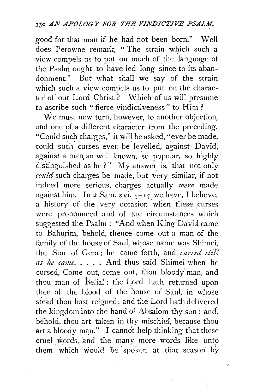good for that ·man if he had not been born." Well does Perowne remark, "The strain which such a view compels us to put on much of the language of the Psalm ought to have led long since to its abandonment." But what shall we say of the strain which such a view compels us to put on the character of our Lord Christ? Which of us will presume to ascribe such " fierce vindictiveness" to Him ?

We must now turn, however, to another objection, and one of a different character from the preceding. "Could such charges," it will be asked, "ever be made, could such curses ever be levelled, against David. against a man so well known, so popular, so highly distinguished as he?" My answer is, that not only *could* such charges be made, but. very similar, if not indeed more serious, charges actually *were* made against him. In  $2$  Sam. xvi.  $5-14$  we have, I believe, a history of the very occasion when these curses were pronounced and of the circumstances which suggested the Psalm: "And when King David came to Bahurim, behold, thence came out a man of the family of the house of Saul, whose name was Shimei, the Son of Gera; he came forth, and *cursed still as he came .* ...• And thus said Shimei when he cursed, Come out, come out, thou bloody man, and thou man of Belial : the Lord hath returned upon thee all the blood of the house of Saul, in whose stead thou hast reigned; and the Lord hath delivered the kingdom into the hand of Absalom thy son : and', behold, thou art taken in thy mischief, because thou art a bloody man." I cannot help thinking that these cruel words, and the many more words like unto them which would be spoken at that season by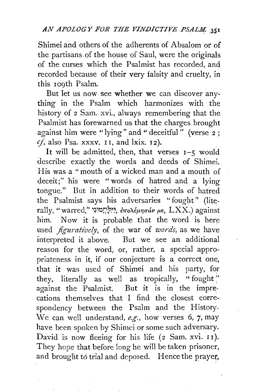Shimei and others of the adherents of Absalom or of the partisans.of the house of Saul, were the originals of the curses which the Psalmist has recorded, and recorded because of their very falsity and cruelty, in this I09th Psalm.

But let us now see whether we can discover anything in the Psalm which harmonizes with the history of 2 Sam. xvi., always remembering that the Psalmist has forewarned us that the charges brought against him were "lying" and " deceitful" (verse 2;  $cf.$  also Psa. xxxv. II, and lxix. I2).

It will be admitted, then, that verses  $I-5$  would describe exactly the words and deeds of Shimei. His was a "mouth of a wicked man and a mouth of deceit;" his were "words of hatred and a lying tongue." But in addition to their words of hatred the Psalmist says his adversaries "fought" (literally, "warred,"~~~~!;~~~. *hro7\,€JL1Ja-av JL€,* LXX.) against him. Now it is probable that the word is here used *figuratively*, of the war of *words*, as we have interpreted it above. But we see an additional reason for the word, or, rather, a special appropriateness in it, if our conjecture is a correct one, that it was used of Shimei and his party, for they, literally as well as tropically, "fought" against the Psalmist. But it is in the imprecations themselves that I find the closest correspondency between the Psalm and the History. We can well understand, *e.g.,* how verses 6, 7, may have been spoken by Shimci or some such adversary. David is now fleeing for his life  $(2 \text{ Sam. xvi. II}).$ They hope that before long he will be taken prisoner, and brought to trial and deposed. Hence the prayer,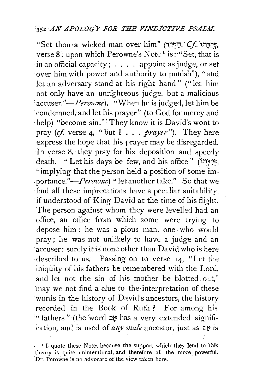"Set thou· a wicked man over him" (ii:(~i'J. · *C.f..* i.-i;:::.~. verse  $8:$  upon which Perowne's Note<sup>1</sup> is: "Set, that is in an official capacity;  $\ldots$ . appoint as judge, or set ·over him with power and authority to punish"), "and let an adversary stand at his right hand" ("let him not only have an unrighteous judge, but a malicious accuser."—*Perowne*). "When he is judged, let him be condemned, and let his prayer" (to God for mercy and ·help) "become sin."· They know it is David's wont to pray *(cf.* verse 4, "but I . . . *prayer").* They here express the hope that his prayer may be disregarded. In verse 8, they pray for his deposition and speedy death. "Let his days be few, and his office" (יְקִדְּרוֹ "implying that the person held a position of some im- *·portance."-Perowne)* "let another take." So that we find all these imprecations have a peculiar suitability, if understood of King David at the time of his flight. The person against whom they were levelled had an office, an office from which some were trying to depose him : he was a pious man, one who would pray; he was not unlikely to have a judge and an accuser: surely it is none other than David who is here described to us. Passing on to verse 14, "Let the iniquity of his fathers be remembered with the Lord, and let not the sin of his mother be blotted. out," may we not find a clue to the interpretation of these words in the history of David's ancestors, the history recorded in the Book of Ruth ? For among his <sup>14</sup> fathers" (the word  $\approx$  has a very extended signifireation, and is used of *any male* ancestor, just as  $\epsilon$ .

 $\cdot$  <sup>1</sup> I quote these Notes because the support which, they lend to this theory is quite unintentional, and therefore all the more powerful. 'Dr. Pcrowne is no advocate of the view taken here.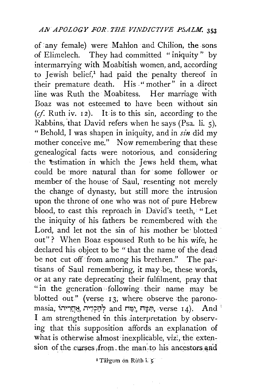of any female) were Mahion and Chilion, the sons of Elimelech. They had committed "iniquity" by intermarrying with Moabitish women, and, according to Jewish belief/ had paid the penalty thereof in their premature death. His "mother" in a direct  $\frac{1}{2}$  line was Ruth the Moabitess. Her marriage with Boaz was not esteemed to have been without sin  $(cf. Ruth iv. 12)$ . It is to this sin, according to the Rabbins, that David refers when he says  $(Psa, li, 5)$ . "Behold, I was shapen in iniquity, and in *sin* did my mother conceive me." Now remembering that these genealogical facts were notorious, and considering the estimation in which the Jews held them, what could be ·more ·natural than for· some follower or member of the house of Saul, resenting not merely the change of dynasty, but still more the intrusion upon the throne of one who was not of pure Hebrew blood, to cast this reproach in David's teeth, " Let the iniquity of his fathers be remembered with the Lord, and let not the sin of his mother be blotted out" ? When Boaz espoused Ruth to be his wife, he declared his object to be "that the name of the dead be not cut off from among his brethren." The partisans of Saul remembering, it may .be, these words, or at any rate deprecating their fulfilment, pray that "in the generation following their name may be blotted out" (verse 13; where observe the parono- $\,$ masia, יְפֵּח  $\,$  dad הַפָּח  $\,$ ; nerse  $\,$  r4).  $\,$  And  $^+$ I am strengthened in this .interpretation by observing that this supposition affords an explanation of what is otherwise almost inexplicable, vizi, the extension of the curses from the man<sub>ito</sub> his ancestors and

I Targum on Ruth i. *s:*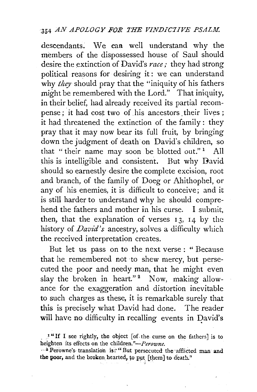descendants; We cam well understand why the members of the dispossessed house of Saul should desire the extinction of David's *race;* they had strong political reasons for desiring it : we can understand why *they* should pray that the "iniquity of his fathers might be remembered with the Lord." That iniquity, in their belief, had already received its partial recompense; it had cost two of his ancestors their lives; it had threatened the extinction of the family: they pray that it may now bear its full fruit, by bringing down the judgment of death on David's children, so that "their name may soon be blotted out."<sup>1</sup> All this is intelligible and consistent. But why David should so earnestly desire the complete excision, root and branch, of the family of Doeg or Ahithophel, or any of his enemies, it is difficult to conceive; and it is still harder to understand why he should comprehend the fathers and mother in his curse. I submit, then, that the explanation of verses  $13$ ,  $14$  by the history of *David's* ancestry, solves a difficulty which the received interpretation creates.

But let us pass on to the next verse : " Because that he remembered not to shew mercy, but persecuted the poor and needy man, that he might even slav the broken in heart."<sup>2</sup> Now, making allowance for the exaggeration and distortion inevitable to such charges as these, it is remarkable surely that this is precisely what David had done. The reader will have no difficulty in recalling events in David's

\_ I " If I see rightly, the object [of- the curse on the fathers] is to heighten its effects on the *children."-Perowne*.

<sup>... &</sup>lt;sup>2</sup> Perowne's translation is: "But persecuted the afflicted man and the poor, and the broken hearted, to put [them] to death."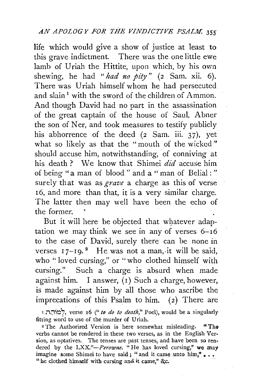life which would give a show of justice at least to this grave indictment. There was the one little ewe lamb of Uriah the Hittite, upon which, by his own shewing, he had *"had no pity"* (2 Sam. xii. 6). There was Uriah himself whom he had persecuted and slain<sup>1</sup> with the sword of the children of Ammon. And though David had no part in the assassination of the great captain of the house of Saul, Abner the son of Ner, and took measures to testify publicly his abhorrence of the deed (2 Sam. iii. 37), yet what so likely as that the "mouth of the wicked" should accuse him, notwithstanding, of conniving at his death? We know that Shimei did accuse him of being "a man of blood " and a " man of Belial : " surely that was as *grave* a charge as this of verse <sup>I</sup>6, and more than that, it is a very similar charge. The latter then may well have been the echo of the former.

But it will here be objected that whatever adaptation we may think we see in any of verses  $6-\overline{16}$ to the case of David, surely there can be none in verses  $17$ -19.<sup>2</sup> He was not a man, it will be said, who " loved cursing," or "who clothed himself with cursing." Such a charge is absurd when made against him. I answer, (I) Such a charge, however, is made against him by all those who ascribe the imprecations of this Psalm to him.  $(2)$  There are

<sup>r</sup>n~ir-i'?, verse 16 *("to do to death,"* Pod), would be a singularly fitting word to use of the murder of Uriah.

<sup>2</sup> The Authorized Version is here somewhat misleading. "The verbs cannot be rendered in these two verses, as in the English Version, as optatives. The tenses are past tenses, and have been so rendered by the *LXX."-Perowne*. "He has loved cursing," we may imagine some Shimei to have said; "and it came unto him,"... "he clothed himself with cursing and it came," &c.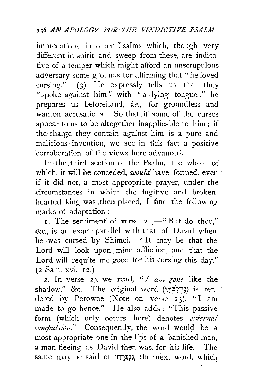imprecations in other Psalms which, though very different in spirit and sweep from these, are indicative of a temper which might afford an unscrupulous adversary some grounds for affirming that "he loved cursing."  $(3)$  He expressly tells us that they "spoke against him" with "a lying tongue :" he prepares us · beforehand, *i.e.,* for groundless and wanton accusations. So that if some of the curses appear to us to be altogether inapplicable to him ; if the charge they contain against him is a pure and malicious invention, we see in this fact a positive corroboration of the views here advanced.

In the third section of the Psalm, the whole of which, it will be conceded, *would* have formed, even if it did. not, a most appropriate prayer, under the circumstances in which the fugitive and brokenhearted king was then placed. I find the following marks of adaptation  $:=$ 

1. The sentiment of verse 21,—" But do thou," &c., is an exact parallel with that of David when he . was cursed by Shimei. " It may be that the Lord will look upon mine affliction, and that the Lord will requite me good for his cursing this day." (2 Sam. xvi. 12.)

2. In verse 23 we read, "*I am gone* like the shadow," &c. The original word (נְהִלָּהְיָ) is rendered by Perowne (Note on verse  $23$ ), "I am made to go hence." He also adds: "This passive form (which only occurs here) denotes *external compulsion.*" Consequently, the word would be a most appropriate one in the lips of a banished man, a man fleeing, as David then was, for his life. The same may be said of יְנִפַּרְתִּי, the next word, which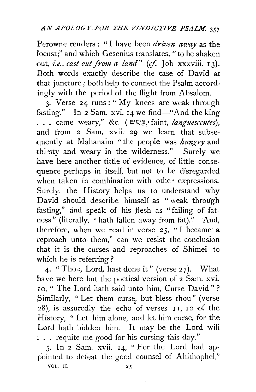Perowne renders : " I have been *driven away* as the locust;" and which Gesenius translates, " to be shaken out, *i.e., cast out from a land*" (cf. Job xxxviii. 13). Both words exactly describe the case of David at that juncture; both help to connect the Psalm accordingly with the period of the flight from Absalom.

3. Verse  $24$  runs: "My knees are weak through fasting." In 2 Sam. xvi. 14 we find-"And the king ... came weary," &c.  $($ **x**:  $\sum$  faint, *languescentes*), and from 2 Sam. xvii. 29 we learn that subsequently at Mahanaim " the people was *hungry* and thirsty and weary in the wilderness." Surely we have here another tittle of evidence, of little consequence perhaps in itself, but not to be disregarded when taken in combination with other expressions. Surely, the History helps us to understand why David should describe himself as " weak through fasting," and speak of his flesh as " failing of fatness" (literally, "hath fallen away from fat)." And, therefore, when we read in verse  $25$ , "I became a reproach unto them," can we resist the conclusion that it is the curses and reproaches of Shimei to which he is referring?

4. " Thou, Lord, hast done it" (verse 27). What have we here but the poetical version of 2 Sam. xvi. 10, " The Lord bath said unto him, Curse David" ? Similarly, "Let them curse, but bless thou" (verse  $28$ ), is assuredly the echo of verses 11, 12 of the History, " Let him alone, and let him curse, for the Lord hath bidden him. It may be the Lord will ... requite me good for his cursing this day."

5. In 2 Sam. xvii. 14, "For the Lord had appointed to defeat the good counsel of Ahithophel,"

VOL. II.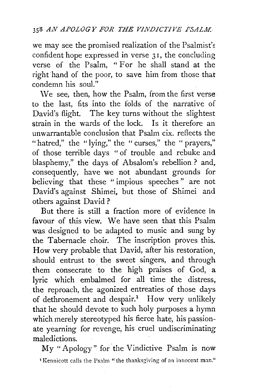we may see the promised realization of the Psalmist's confident hope expressed in verse 31, the concluding verse of the Psalm, " For he shall stand at the right hand of the poor, to save him from those that condemn his soul."

\Ve see, then, how the Psalm, from the first verse to the last, fits into the folds of the narrative of David's flight. The key turns without the slightest strain in the wards of the lock. Is it therefore an unwarrantable conclusion that Psalm cix. reflects the "hatred," the "lying," the " curses," the " prayers," of those terrible days "of trouble and rebuke and blasphemy," the days of Absalom's rebellion ? and, consequently, have we not abundant grounds for believing that these " impious speeches " are not David's against Shimei. but those of Shimei and others against David ?

But there is still a fraction more of evidence in favour of this view. We have seen that this Psalm was designed to be adapted to music and sung by the Tabernacle· choir. The inscription proves this. How very probable that David, after his restoration, should entrust to the sweet singers, and through them consecrate to the high praises of God, a lyric which embalmed for all time the distress, . the reproach, the agonized entreaties of those days of dethronement and despair.<sup>1</sup> How very unlikely that he should devote to such holy purposes a hymn which merely stereotyped his fierce hate, his passionate yearning for revenge, his cruel undiscriminating maledictions.

My "Apology" for the Vindictive Psalm is now 'Kennicott calls the Ps;1m "the thanksgiving of an innocent man."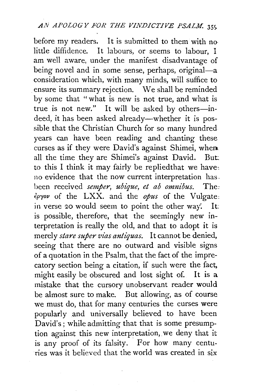before my readers. It is submitted to them with nolittle diffidence. It labours, or seems to labour, I am well aware, under the manifest disadvantage of being novel and in some sense, perhaps, original-a consideration which, with many minds, will suffice to ensure its summary rejection. We shall be reminded by some that "what is new is not true, and what is true is not new." It will be asked by others-indeed, it has been asked already—whether it is possible that the Christian Church for so many hundred years can have been reading and chanting these curses as if they were David's against Shimei, when all the time they are Shimei's against David. But: to this I think it may fairly be repliedthat we have: no evidence that the now current interpretation has. been received *semper, ubique, et ab omnibus.* The:  $\epsilon \rho \gamma \omega \rho$  of the LXX. and the  $\omega \rho \omega \rho \rho \rho$  of the Vulgate: in verse 20 would seem to point the other way. It: is possible, therefore, that the seemingly new interpretation is really the old, and that to adopt it is merely *stare super vias antiquas.* It cannot be denied, seeing that there are no outward and visible signs of a quotation in the Psalm, that the fact of the imprecatory section being a citation, if such were the fact, might easily be obscured and lost sight of. It is a mistake that the cursory unobservant reader would be almost sure to make. But allowing, as of course we must do, that for many centuries the curses were popularly and universally believed to have been David's; while admitting that that is some presumption against this new interpretation, we deny that it is any proof of its falsity. For how many centuries was it believed that the world was created in six